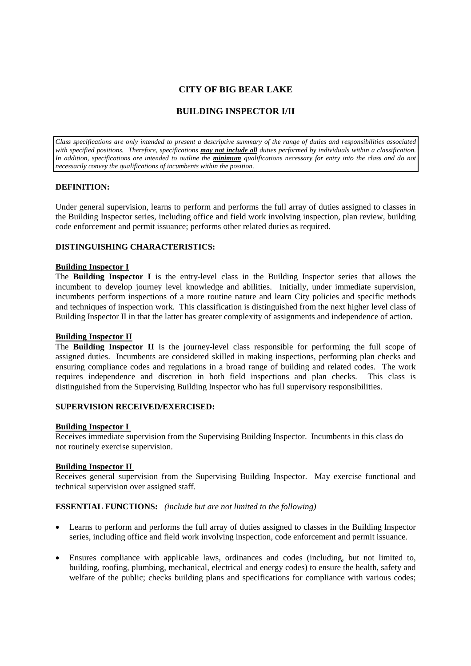# **CITY OF BIG BEAR LAKE**

# **BUILDING INSPECTOR I/II**

*Class specifications are only intended to present a descriptive summary of the range of duties and responsibilities associated with specified positions. Therefore, specifications may not include all duties performed by individuals within a classification. In addition, specifications are intended to outline the minimum qualifications necessary for entry into the class and do not necessarily convey the qualifications of incumbents within the position.*

## **DEFINITION:**

Under general supervision, learns to perform and performs the full array of duties assigned to classes in the Building Inspector series, including office and field work involving inspection, plan review, building code enforcement and permit issuance; performs other related duties as required.

## **DISTINGUISHING CHARACTERISTICS:**

#### **Building Inspector I**

The **Building Inspector I** is the entry-level class in the Building Inspector series that allows the incumbent to develop journey level knowledge and abilities. Initially, under immediate supervision, incumbents perform inspections of a more routine nature and learn City policies and specific methods and techniques of inspection work. This classification is distinguished from the next higher level class of Building Inspector II in that the latter has greater complexity of assignments and independence of action.

#### **Building Inspector II**

The **Building Inspector II** is the journey-level class responsible for performing the full scope of assigned duties. Incumbents are considered skilled in making inspections, performing plan checks and ensuring compliance codes and regulations in a broad range of building and related codes. The work requires independence and discretion in both field inspections and plan checks. This class is distinguished from the Supervising Building Inspector who has full supervisory responsibilities.

### **SUPERVISION RECEIVED/EXERCISED:**

#### **Building Inspector I**

Receives immediate supervision from the Supervising Building Inspector. Incumbents in this class do not routinely exercise supervision.

#### **Building Inspector II**

Receives general supervision from the Supervising Building Inspector. May exercise functional and technical supervision over assigned staff.

#### **ESSENTIAL FUNCTIONS:** *(include but are not limited to the following)*

- Learns to perform and performs the full array of duties assigned to classes in the Building Inspector series, including office and field work involving inspection, code enforcement and permit issuance.
- Ensures compliance with applicable laws, ordinances and codes (including, but not limited to, building, roofing, plumbing, mechanical, electrical and energy codes) to ensure the health, safety and welfare of the public; checks building plans and specifications for compliance with various codes;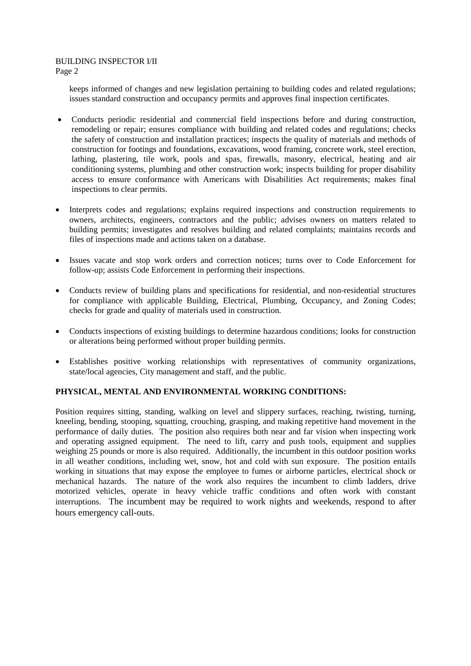# BUILDING INSPECTOR I/II

Page 2

keeps informed of changes and new legislation pertaining to building codes and related regulations; issues standard construction and occupancy permits and approves final inspection certificates.

- Conducts periodic residential and commercial field inspections before and during construction, remodeling or repair; ensures compliance with building and related codes and regulations; checks the safety of construction and installation practices; inspects the quality of materials and methods of construction for footings and foundations, excavations, wood framing, concrete work, steel erection, lathing, plastering, tile work, pools and spas, firewalls, masonry, electrical, heating and air conditioning systems, plumbing and other construction work; inspects building for proper disability access to ensure conformance with Americans with Disabilities Act requirements; makes final inspections to clear permits.
- Interprets codes and regulations; explains required inspections and construction requirements to owners, architects, engineers, contractors and the public; advises owners on matters related to building permits; investigates and resolves building and related complaints; maintains records and files of inspections made and actions taken on a database.
- Issues vacate and stop work orders and correction notices; turns over to Code Enforcement for follow-up; assists Code Enforcement in performing their inspections.
- Conducts review of building plans and specifications for residential, and non-residential structures for compliance with applicable Building, Electrical, Plumbing, Occupancy, and Zoning Codes; checks for grade and quality of materials used in construction.
- Conducts inspections of existing buildings to determine hazardous conditions; looks for construction or alterations being performed without proper building permits.
- Establishes positive working relationships with representatives of community organizations, state/local agencies, City management and staff, and the public.

# **PHYSICAL, MENTAL AND ENVIRONMENTAL WORKING CONDITIONS:**

Position requires sitting, standing, walking on level and slippery surfaces, reaching, twisting, turning, kneeling, bending, stooping, squatting, crouching, grasping, and making repetitive hand movement in the performance of daily duties. The position also requires both near and far vision when inspecting work and operating assigned equipment. The need to lift, carry and push tools, equipment and supplies weighing 25 pounds or more is also required. Additionally, the incumbent in this outdoor position works in all weather conditions, including wet, snow, hot and cold with sun exposure. The position entails working in situations that may expose the employee to fumes or airborne particles, electrical shock or mechanical hazards. The nature of the work also requires the incumbent to climb ladders, drive motorized vehicles, operate in heavy vehicle traffic conditions and often work with constant interruptions. The incumbent may be required to work nights and weekends, respond to after hours emergency call-outs.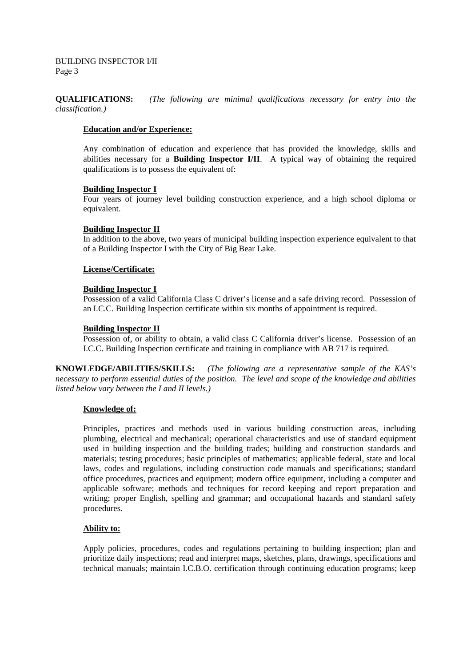BUILDING INSPECTOR I/II Page 3

**QUALIFICATIONS:** *(The following are minimal qualifications necessary for entry into the classification.)*

### **Education and/or Experience:**

Any combination of education and experience that has provided the knowledge, skills and abilities necessary for a **Building Inspector I/II**. A typical way of obtaining the required qualifications is to possess the equivalent of:

#### **Building Inspector I**

Four years of journey level building construction experience, and a high school diploma or equivalent.

#### **Building Inspector II**

In addition to the above, two years of municipal building inspection experience equivalent to that of a Building Inspector I with the City of Big Bear Lake.

#### **License/Certificate:**

#### **Building Inspector I**

Possession of a valid California Class C driver's license and a safe driving record. Possession of an I.C.C. Building Inspection certificate within six months of appointment is required.

#### **Building Inspector II**

Possession of, or ability to obtain, a valid class C California driver's license. Possession of an I.C.C. Building Inspection certificate and training in compliance with AB 717 is required.

**KNOWLEDGE/ABILITIES/SKILLS:** *(The following are a representative sample of the KAS's necessary to perform essential duties of the position. The level and scope of the knowledge and abilities listed below vary between the I and II levels.)*

#### **Knowledge of:**

Principles, practices and methods used in various building construction areas, including plumbing, electrical and mechanical; operational characteristics and use of standard equipment used in building inspection and the building trades; building and construction standards and materials; testing procedures; basic principles of mathematics; applicable federal, state and local laws, codes and regulations, including construction code manuals and specifications; standard office procedures, practices and equipment; modern office equipment, including a computer and applicable software; methods and techniques for record keeping and report preparation and writing; proper English, spelling and grammar; and occupational hazards and standard safety procedures.

## **Ability to:**

Apply policies, procedures, codes and regulations pertaining to building inspection; plan and prioritize daily inspections; read and interpret maps, sketches, plans, drawings, specifications and technical manuals; maintain I.C.B.O. certification through continuing education programs; keep